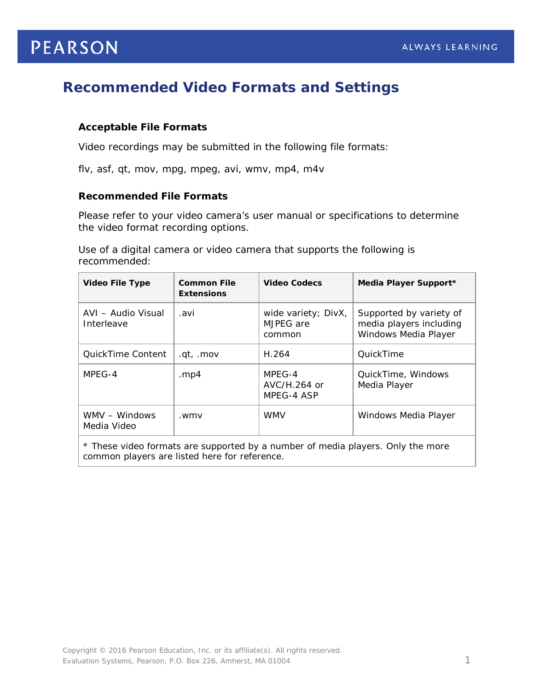# **PEARSON**

## **Recommended Video Formats and Settings**

### **Acceptable File Formats**

Video recordings may be submitted in the following file formats:

flv, asf, qt, mov, mpg, mpeg, avi, wmv, mp4, m4v

#### **Recommended File Formats**

Please refer to your video camera's user manual or specifications to determine the video format recording options.

Use of a digital camera or video camera that supports the following is recommended:

| <b>Video File Type</b>           | <b>Common File</b><br><b>Extensions</b> | <b>Video Codecs</b>                        | Media Player Support*                                                      |
|----------------------------------|-----------------------------------------|--------------------------------------------|----------------------------------------------------------------------------|
| AVI - Audio Visual<br>Interleave | .avi                                    | wide variety; DivX,<br>MJPEG are<br>common | Supported by variety of<br>media players including<br>Windows Media Player |
| QuickTime Content                | .gt, .mov                               | H.264                                      | QuickTime                                                                  |
| MPEG-4                           | .mp4                                    | MPEG-4<br>AVC/H.264 or<br>MPEG-4 ASP       | QuickTime, Windows<br>Media Player                                         |
| WMV - Windows<br>Media Video     | .wmv                                    | <b>WMV</b>                                 | Windows Media Player                                                       |
|                                  |                                         |                                            |                                                                            |

\* These video formats are supported by a number of media players. Only the more common players are listed here for reference.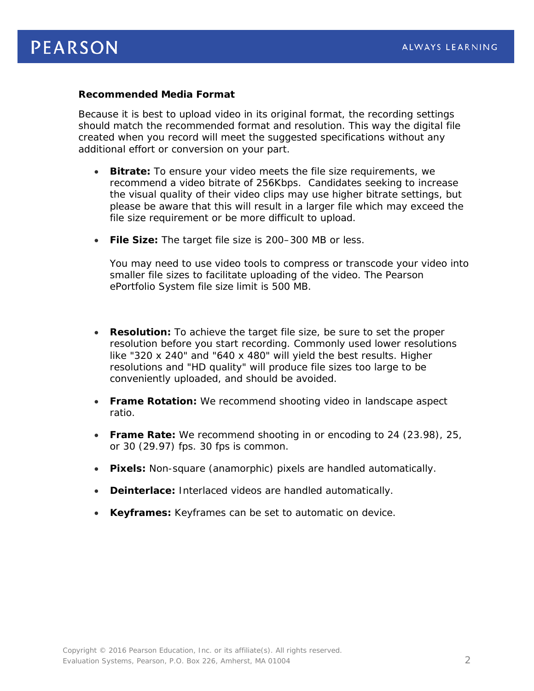#### **Recommended Media Format**

Because it is best to upload video in its original format, the recording settings should match the recommended format and resolution. This way the digital file created when you record will meet the suggested specifications without any additional effort or conversion on your part.

- **Bitrate:** To ensure your video meets the file size requirements, we recommend a video bitrate of 256Kbps. Candidates seeking to increase the visual quality of their video clips may use higher bitrate settings, but please be aware that this will result in a larger file which may exceed the file size requirement or be more difficult to upload.
- **File Size:** The target file size is 200–300 MB or less.

You may need to use video tools to compress or transcode your video into smaller file sizes to facilitate uploading of the video. The Pearson ePortfolio System file size limit is 500 MB.

- **Resolution:** To achieve the target file size, be sure to set the proper resolution before you start recording. Commonly used lower resolutions like "320 x 240" and "640 x 480" will yield the best results. Higher resolutions and "HD quality" will produce file sizes too large to be conveniently uploaded, and should be avoided.
- **Frame Rotation:** We recommend shooting video in landscape aspect ratio.
- **Frame Rate:** We recommend shooting in or encoding to 24 (23.98), 25, or 30 (29.97) fps. 30 fps is common.
- **Pixels:** Non-square (anamorphic) pixels are handled automatically.
- **Deinterlace:** Interlaced videos are handled automatically.
- **Keyframes:** Keyframes can be set to automatic on device.